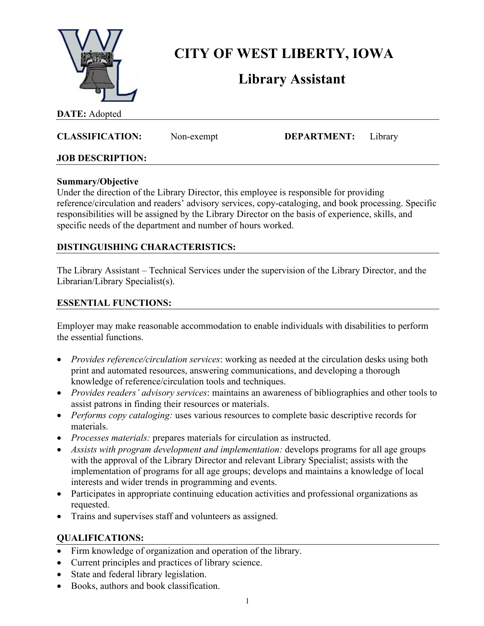

# **CITY OF WEST LIBERTY, IOWA**

# **Library Assistant**

### **DATE:** Adopted

## **CLASSIFICATION:** Non-exempt **DEPARTMENT:** Library

### **JOB DESCRIPTION:**

#### **Summary/Objective**

Under the direction of the Library Director, this employee is responsible for providing reference/circulation and readers' advisory services, copy-cataloging, and book processing. Specific responsibilities will be assigned by the Library Director on the basis of experience, skills, and specific needs of the department and number of hours worked.

## **DISTINGUISHING CHARACTERISTICS:**

The Library Assistant – Technical Services under the supervision of the Library Director, and the Librarian/Library Specialist(s).

### **ESSENTIAL FUNCTIONS:**

Employer may make reasonable accommodation to enable individuals with disabilities to perform the essential functions.

- *Provides reference/circulation services*: working as needed at the circulation desks using both print and automated resources, answering communications, and developing a thorough knowledge of reference/circulation tools and techniques.
- *Provides readers' advisory services*: maintains an awareness of bibliographies and other tools to assist patrons in finding their resources or materials.
- *Performs copy cataloging:* uses various resources to complete basic descriptive records for materials.
- *Processes materials:* prepares materials for circulation as instructed.
- *Assists with program development and implementation:* develops programs for all age groups with the approval of the Library Director and relevant Library Specialist; assists with the implementation of programs for all age groups; develops and maintains a knowledge of local interests and wider trends in programming and events.
- Participates in appropriate continuing education activities and professional organizations as requested.
- Trains and supervises staff and volunteers as assigned.

### **QUALIFICATIONS:**

- Firm knowledge of organization and operation of the library.
- Current principles and practices of library science.
- State and federal library legislation.
- Books, authors and book classification.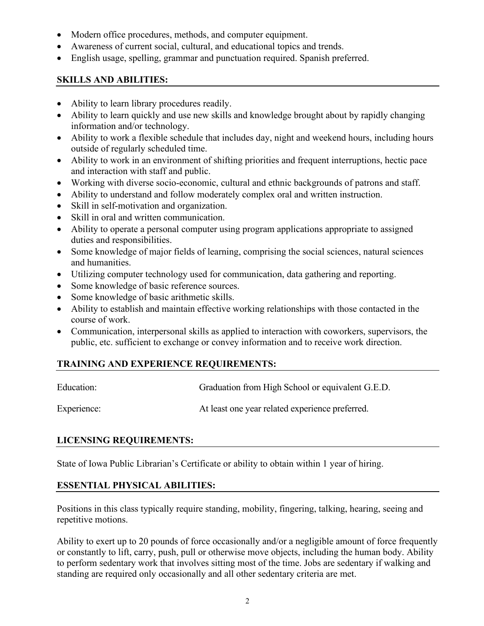- Modern office procedures, methods, and computer equipment.
- Awareness of current social, cultural, and educational topics and trends.
- English usage, spelling, grammar and punctuation required. Spanish preferred.

## **SKILLS AND ABILITIES:**

- Ability to learn library procedures readily.
- Ability to learn quickly and use new skills and knowledge brought about by rapidly changing information and/or technology.
- Ability to work a flexible schedule that includes day, night and weekend hours, including hours outside of regularly scheduled time.
- Ability to work in an environment of shifting priorities and frequent interruptions, hectic pace and interaction with staff and public.
- Working with diverse socio-economic, cultural and ethnic backgrounds of patrons and staff.
- Ability to understand and follow moderately complex oral and written instruction.
- Skill in self-motivation and organization.
- Skill in oral and written communication.
- Ability to operate a personal computer using program applications appropriate to assigned duties and responsibilities.
- Some knowledge of major fields of learning, comprising the social sciences, natural sciences and humanities.
- Utilizing computer technology used for communication, data gathering and reporting.
- Some knowledge of basic reference sources.
- Some knowledge of basic arithmetic skills.
- Ability to establish and maintain effective working relationships with those contacted in the course of work.
- Communication, interpersonal skills as applied to interaction with coworkers, supervisors, the public, etc. sufficient to exchange or convey information and to receive work direction.

# **TRAINING AND EXPERIENCE REQUIREMENTS:**

| Education:  | Graduation from High School or equivalent G.E.D. |
|-------------|--------------------------------------------------|
| Experience: | At least one year related experience preferred.  |

# **LICENSING REQUIREMENTS:**

State of Iowa Public Librarian's Certificate or ability to obtain within 1 year of hiring.

# **ESSENTIAL PHYSICAL ABILITIES:**

Positions in this class typically require standing, mobility, fingering, talking, hearing, seeing and repetitive motions.

Ability to exert up to 20 pounds of force occasionally and/or a negligible amount of force frequently or constantly to lift, carry, push, pull or otherwise move objects, including the human body. Ability to perform sedentary work that involves sitting most of the time. Jobs are sedentary if walking and standing are required only occasionally and all other sedentary criteria are met.